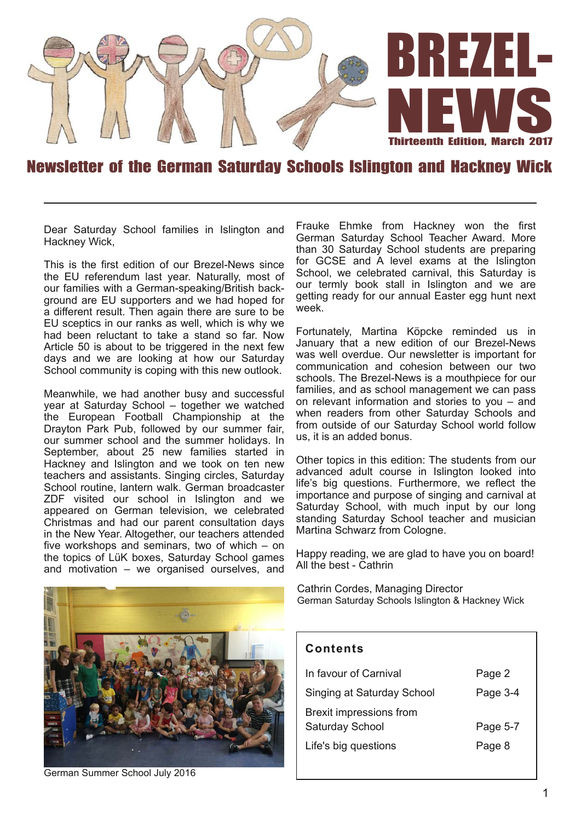

#### Newsletter of the German Saturday Schools Islington and Hackney Wick

Dear Saturday School families in Islington and Hackney Wick,

This is the first edition of our Brezel-News since the EU referendum last year. Naturally, most of our families with a German-speaking/British background are EU supporters and we had hoped for a different result. Then again there are sure to be EU sceptics in our ranks as well, which is why we had been reluctant to take a stand so far. Now Article 50 is about to be triggered in the next few days and we are looking at how our Saturday School community is coping with this new outlook.

Meanwhile, we had another busy and successful year at Saturday School – together we watched the European Football Championship at the Drayton Park Pub, followed by our summer fair, our summer school and the summer holidays. In September, about 25 new families started in Hackney and Islington and we took on ten new teachers and assistants. Singing circles, Saturday School routine, lantern walk. German broadcaster ZDF visited our school in Islington and we appeared on German television, we celebrated Christmas and had our parent consultation days in the New Year. Altogether, our teachers attended five workshops and seminars, two of which – on the topics of LüK boxes, Saturday School games and motivation – we organised ourselves, and

Frauke Ehmke from Hackney won the first German Saturday School Teacher Award. More than 30 Saturday School students are preparing for GCSE and A level exams at the Islington School, we celebrated carnival, this Saturday is our termly book stall in Islington and we are getting ready for our annual Easter egg hunt next week.

Fortunately, Martina Köpcke reminded us in January that a new edition of our Brezel-News was well overdue. Our newsletter is important for communication and cohesion between our two schools. The Brezel-News is a mouthpiece for our families, and as school management we can pass on relevant information and stories to you – and when readers from other Saturday Schools and from outside of our Saturday School world follow us, it is an added bonus.

Other topics in this edition: The students from our advanced adult course in Islington looked into life's big questions. Furthermore, we reflect the importance and purpose of singing and carnival at Saturday School, with much input by our long standing Saturday School teacher and musician Martina Schwarz from Cologne.

Happy reading, we are glad to have you on board! All the best - Cathrin

Cathrin Cordes, Managing Director German Saturday Schools Islington & Hackney Wick



German Summer School July 2016

#### **Con ten ts**

| In favour of Carnival                      | Page 2   |
|--------------------------------------------|----------|
| Singing at Saturday School                 | Page 3-4 |
| Brexit impressions from<br>Saturday School | Page 5-7 |
| Life's big questions                       | Page 8   |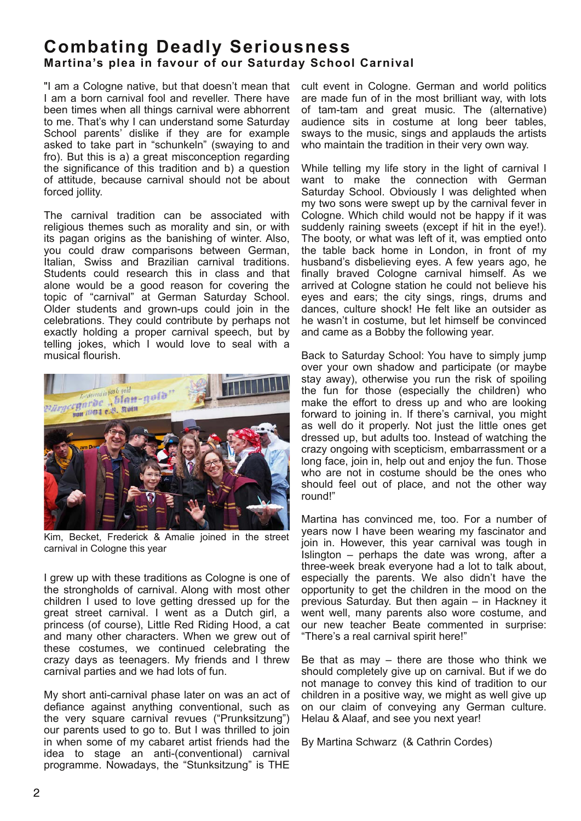## **Comba ting Deadly Seriousness Martina's plea in favour of our Saturday School Carnival**

"I am a Cologne native, but that doesn't mean that I am a born carnival fool and reveller. There have been times when all things carnival were abhorrent to me. That's why I can understand some Saturday School parents' dislike if they are for example asked to take part in "schunkeln" (swaying to and fro). But this is a) a great misconception regarding the significance of this tradition and b) a question of attitude, because carnival should not be about forced jollity.

The carnival tradition can be associated with religious themes such as morality and sin, or with its pagan origins as the banishing of winter. Also, you could draw comparisons between German, Italian, Swiss and Brazilian carnival traditions. Students could research this in class and that alone would be a good reason for covering the topic of "carnival" at German Saturday School. Older students and grown-ups could join in the celebrations. They could contribute by perhaps not exactly holding a proper carnival speech, but by telling jokes, which I would love to seal with a musical flourish.



Kim, Becket, Frederick & Amalie joined in the street carnival in Cologne this year

I grew up with these traditions as Cologne is one of the strongholds of carnival. Along with most other children I used to love getting dressed up for the great street carnival. I went as a Dutch girl, a princess (of course), Little Red Riding Hood, a cat and many other characters. When we grew out of these costumes, we continued celebrating the crazy days as teenagers. My friends and I threw carnival parties and we had lots of fun.

My short anti-carnival phase later on was an act of defiance against anything conventional, such as the very square carnival revues ("Prunksitzung") our parents used to go to. But I was thrilled to join in when some of my cabaret artist friends had the idea to stage an anti-(conventional) carnival programme. Nowadays, the "Stunksitzung" is THE

cult event in Cologne. German and world politics are made fun of in the most brilliant way, with lots of tam-tam and great music. The (alternative) audience sits in costume at long beer tables, sways to the music, sings and applauds the artists who maintain the tradition in their very own way.

While telling my life story in the light of carnival I want to make the connection with German Saturday School. Obviously I was delighted when my two sons were swept up by the carnival fever in Cologne. Which child would not be happy if it was suddenly raining sweets (except if hit in the eye!). The booty, or what was left of it, was emptied onto the table back home in London, in front of my husband's disbelieving eyes. A few years ago, he finally braved Cologne carnival himself. As we arrived at Cologne station he could not believe his eyes and ears; the city sings, rings, drums and dances, culture shock! He felt like an outsider as he wasn't in costume, but let himself be convinced and came as a Bobby the following year.

Back to Saturday School: You have to simply jump over your own shadow and participate (or maybe stay away), otherwise you run the risk of spoiling the fun for those (especially the children) who make the effort to dress up and who are looking forward to joining in. If there's carnival, you might as well do it properly. Not just the little ones get dressed up, but adults too. Instead of watching the crazy ongoing with scepticism, embarrassment or a long face, join in, help out and enjoy the fun. Those who are not in costume should be the ones who should feel out of place, and not the other way round!"

Martina has convinced me, too. For a number of years now I have been wearing my fascinator and join in. However, this year carnival was tough in Islington – perhaps the date was wrong, after a three-week break everyone had a lot to talk about, especially the parents. We also didn't have the opportunity to get the children in the mood on the previous Saturday. But then again – in Hackney it went well, many parents also wore costume, and our new teacher Beate commented in surprise: "There's a real carnival spirit here!"

Be that as may  $-$  there are those who think we should completely give up on carnival. But if we do not manage to convey this kind of tradition to our children in a positive way, we might as well give up on our claim of conveying any German culture. Helau & Alaaf, and see you next year!

By Martina Schwarz (& Cathrin Cordes)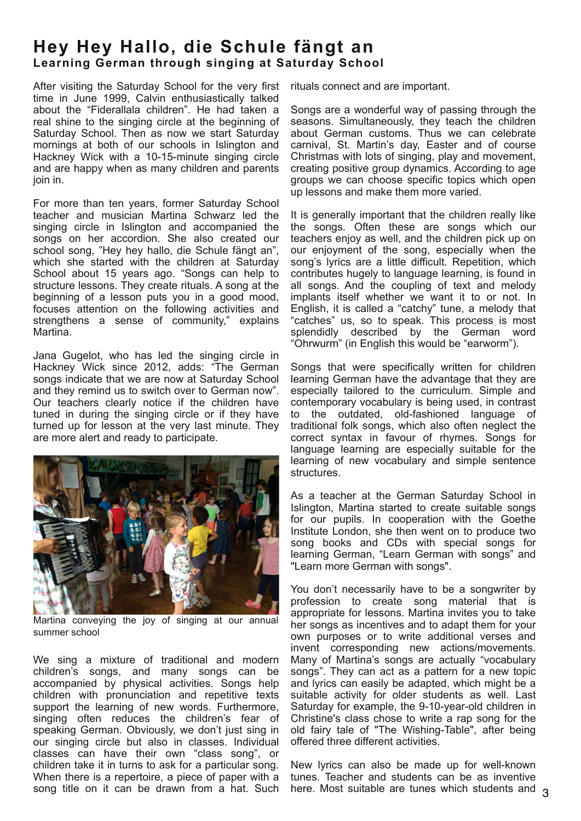# **Hey Hey Hallo, die Schule fängt an Learning German through singing at Saturday School**

After visiting the Saturday School for the very first time in June 1999, Calvin enthusiastically talked about the "Fiderallala children". He had taken a real shine to the singing circle at the beginning of Saturday School. Then as now we start Saturday mornings at both of our schools in Islington and Hackney Wick with a 10-15-minute singing circle and are happy when as many children and parents join in.

For more than ten years, former Saturday School teacher and musician Martina Schwarz led the singing circle in Islington and accompanied the songs on her accordion. She also created our school song, "Hey hey hallo, die Schule fängt an", which she started with the children at Saturday School about 15 years ago. "Songs can help to structure lessons. They create rituals. A song at the beginning of a lesson puts you in a good mood, focuses attention on the following activities and strengthens a sense of community," explains Martina.

Jana Gugelot, who has led the singing circle in Hackney Wick since 2012, adds: "The German songs indicate that we are now at Saturday School and they remind us to switch over to German now". Our teachers clearly notice if the children have tuned in during the singing circle or if they have turned up for lesson at the very last minute. They are more alert and ready to participate.



Martina conveying the joy of singing at our annual summer school

We sing a mixture of traditional and modern children's songs, and many songs can be accompanied by physical activities. Songs help children with pronunciation and repetitive texts support the learning of new words. Furthermore, singing often reduces the children's fear of speaking German. Obviously, we don't just sing in our singing circle but also in classes. Individual classes can have their own "class song", or children take it in turns to ask for a particular song. When there is a repertoire, a piece of paper with a song title on it can be drawn from a hat. Such

rituals connect and are important.

Songs are a wonderful way of passing through the seasons. Simultaneously, they teach the children about German customs. Thus we can celebrate carnival, St. Martin's day, Easter and of course Christmas with lots of singing, play and movement, creating positive group dynamics. According to age groups we can choose specific topics which open up lessons and make them more varied.

It is generally important that the children really like the songs. Often these are songs which our teachers enjoy as well, and the children pick up on our enjoyment of the song, especially when the song's lyrics are a little difficult. Repetition, which contributes hugely to language learning, is found in all songs. And the coupling of text and melody implants itself whether we want it to or not. In English, it is called a "catchy" tune, a melody that "catches" us, so to speak. This process is most splendidly described by the German word "Ohrwurm" (in English this would be "earworm").

Songs that were specifically written for children learning German have the advantage that they are especially tailored to the curriculum. Simple and contemporary vocabulary is being used, in contrast to the outdated, old-fashioned language of traditional folk songs, which also often neglect the correct syntax in favour of rhymes. Songs for language learning are especially suitable for the learning of new vocabulary and simple sentence structures.

As a teacher at the German Saturday School in Islington, Martina started to create suitable songs for our pupils. In cooperation with the Goethe Institute London, she then went on to produce two song books and CDs with special songs for learning German, "Learn German with songs" and "Learn more German with songs".

You don't necessarily have to be a songwriter by profession to create song material that is appropriate for lessons. Martina invites you to take her songs as incentives and to adapt them for your own purposes or to write additional verses and invent corresponding new actions/movements. Many of Martina's songs are actually "vocabulary songs". They can act as a pattern for a new topic and lyrics can easily be adapted, which might be a suitable activity for older students as well. Last Saturday for example, the 9-10-year-old children in Christine's class chose to write a rap song for the old fairy tale of "The Wishing-Table", after being offered three different activities.

New lyrics can also be made up for well-known tunes. Teacher and students can be as inventive here. Most suitable are tunes which students and 3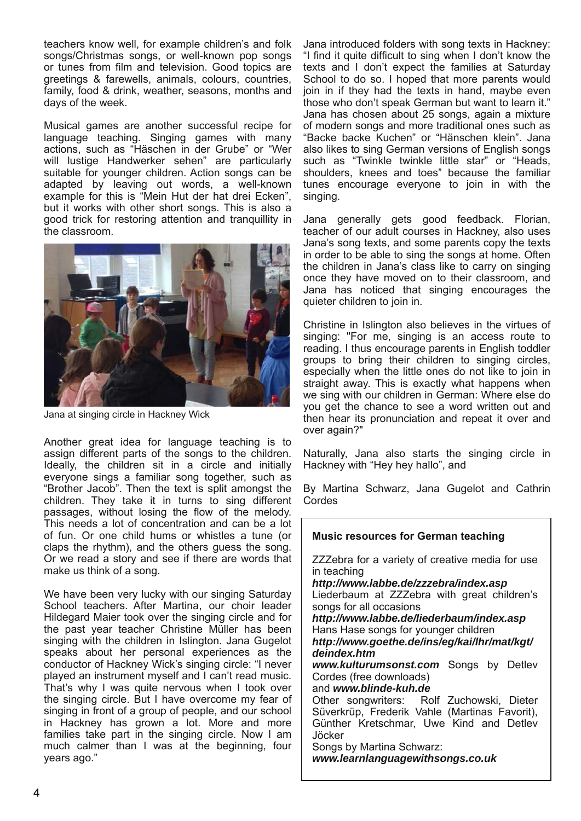teachers know well, for example children's and folk songs/Christmas songs, or well-known pop songs or tunes from film and television. Good topics are greetings & farewells, animals, colours, countries, family, food & drink, weather, seasons, months and days of the week.

Musical games are another successful recipe for language teaching. Singing games with many actions, such as "Häschen in der Grube" or "Wer will lustige Handwerker sehen" are particularly suitable for younger children. Action songs can be adapted by leaving out words, a well-known example for this is "Mein Hut der hat drei Ecken", but it works with other short songs. This is also a good trick for restoring attention and tranquillity in the classroom.



Jana at singing circle in Hackney Wick

Another great idea for language teaching is to assign different parts of the songs to the children. Ideally, the children sit in a circle and initially everyone sings a familiar song together, such as "Brother Jacob". Then the text is split amongst the children. They take it in turns to sing different passages, without losing the flow of the melody. This needs a lot of concentration and can be a lot of fun. Or one child hums or whistles a tune (or claps the rhythm), and the others guess the song. Or we read a story and see if there are words that make us think of a song.

We have been very lucky with our singing Saturday School teachers. After Martina, our choir leader Hildegard Maier took over the singing circle and for the past year teacher Christine Müller has been singing with the children in Islington. Jana Gugelot speaks about her personal experiences as the conductor of Hackney Wick's singing circle: "I never played an instrument myself and I can't read music. That's why I was quite nervous when I took over the singing circle. But I have overcome my fear of singing in front of a group of people, and our school in Hackney has grown a lot. More and more families take part in the singing circle. Now I am much calmer than I was at the beginning, four years ago."

Jana introduced folders with song texts in Hackney: "I find it quite difficult to sing when I don't know the texts and I don't expect the families at Saturday School to do so. I hoped that more parents would join in if they had the texts in hand, maybe even those who don't speak German but want to learn it." Jana has chosen about 25 songs, again a mixture of modern songs and more traditional ones such as "Backe backe Kuchen" or "Hänschen klein". Jana also likes to sing German versions of English songs such as "Twinkle twinkle little star" or "Heads, shoulders, knees and toes" because the familiar tunes encourage everyone to join in with the singing.

Jana generally gets good feedback. Florian, teacher of our adult courses in Hackney, also uses Jana's song texts, and some parents copy the texts in order to be able to sing the songs at home. Often the children in Jana's class like to carry on singing once they have moved on to their classroom, and Jana has noticed that singing encourages the quieter children to join in.

Christine in Islington also believes in the virtues of singing: "For me, singing is an access route to reading. I thus encourage parents in English toddler groups to bring their children to singing circles, especially when the little ones do not like to join in straight away. This is exactly what happens when we sing with our children in German: Where else do you get the chance to see a word written out and then hear its pronunciation and repeat it over and over again?"

Naturally, Jana also starts the singing circle in Hackney with "Hey hey hallo", and

By Martina Schwarz, Jana Gugelot and Cathrin Cordes

| <b>Music resources for German teaching</b>                                                                                                                                                                                                                            |
|-----------------------------------------------------------------------------------------------------------------------------------------------------------------------------------------------------------------------------------------------------------------------|
| ZZZebra for a variety of creative media for use<br>in teaching<br>http://www.labbe.de/zzzebra/index.asp<br>Liederbaum at ZZZebra with great children's<br>songs for all occasions<br>http://www.labbe.de/liederbaum/index.asp<br>Hans Hase songs for younger children |
| http://www.goethe.de/ins/eg/kai/lhr/mat/kgt/<br>deindex.htm                                                                                                                                                                                                           |
| www.kulturumsonst.com Songs by Detlev<br>Cordes (free downloads)<br>and www.blinde-kuh.de                                                                                                                                                                             |
| Other songwriters: Rolf Zuchowski, Dieter<br>Süverkrüp, Frederik Vahle (Martinas Favorit),<br>Günther Kretschmar, Uwe Kind and Detlev<br>Jöcker<br>Songs by Martina Schwarz:<br>www.learnlanguagewithsongs.co.uk                                                      |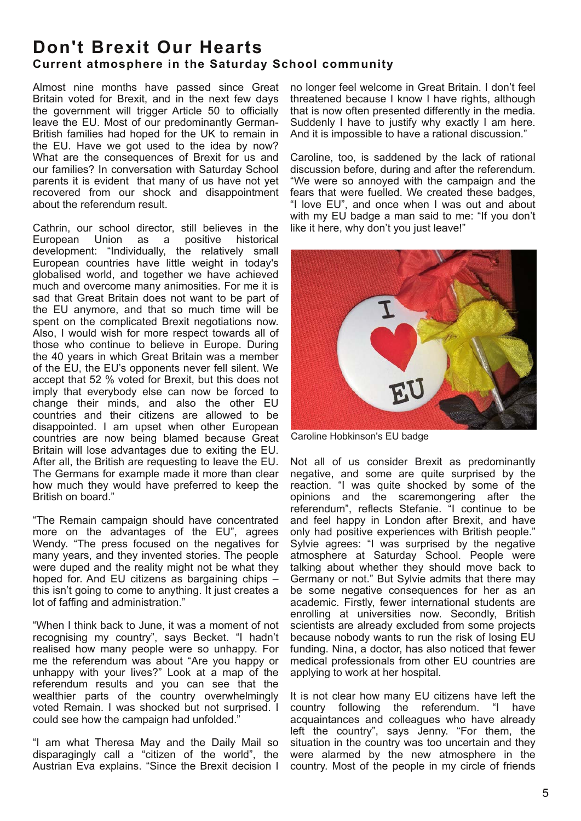## **Don't Brexit Our Hearts Current atmosphere in the Saturday School community**

Almost nine months have passed since Great Britain voted for Brexit, and in the next few days the government will trigger Article 50 to officially leave the EU. Most of our predominantly German-British families had hoped for the UK to remain in the EU. Have we got used to the idea by now? What are the consequences of Brexit for us and our families? In conversation with Saturday School parents it is evident that many of us have not yet recovered from our shock and disappointment about the referendum result.

Cathrin, our school director, still believes in the European Union as a positive historical development: "Individually, the relatively small European countries have little weight in today's globalised world, and together we have achieved much and overcome many animosities. For me it is sad that Great Britain does not want to be part of the EU anymore, and that so much time will be spent on the complicated Brexit negotiations now. Also, I would wish for more respect towards all of those who continue to believe in Europe. During the 40 years in which Great Britain was a member of the EU, the EU's opponents never fell silent. We accept that 52 % voted for Brexit, but this does not imply that everybody else can now be forced to change their minds, and also the other EU countries and their citizens are allowed to be disappointed. I am upset when other European countries are now being blamed because Great Britain will lose advantages due to exiting the EU. After all, the British are requesting to leave the EU. The Germans for example made it more than clear how much they would have preferred to keep the British on board."

"The Remain campaign should have concentrated more on the advantages of the EU", agrees Wendy. "The press focused on the negatives for many years, and they invented stories. The people were duped and the reality might not be what they hoped for. And EU citizens as bargaining chips – this isn't going to come to anything. It just creates a lot of faffing and administration."

"When I think back to June, it was a moment of not recognising my country", says Becket. "I hadn't realised how many people were so unhappy. For me the referendum was about "Are you happy or unhappy with your lives?" Look at a map of the referendum results and you can see that the wealthier parts of the country overwhelmingly voted Remain. I was shocked but not surprised. I could see how the campaign had unfolded."

"I am what Theresa May and the Daily Mail so disparagingly call a "citizen of the world", the Austrian Eva explains. "Since the Brexit decision I

no longer feel welcome in Great Britain. I don't feel threatened because I know I have rights, although that is now often presented differently in the media. Suddenly I have to justify why exactly I am here. And it is impossible to have a rational discussion."

Caroline, too, is saddened by the lack of rational discussion before, during and after the referendum. "We were so annoyed with the campaign and the fears that were fuelled. We created these badges, "I love EU", and once when I was out and about with my EU badge a man said to me: "If you don't like it here, why don't you just leave!"



Caroline Hobkinson's EU badge

Not all of us consider Brexit as predominantly negative, and some are quite surprised by the reaction. "I was quite shocked by some of the opinions and the scaremongering after the referendum", reflects Stefanie. "I continue to be and feel happy in London after Brexit, and have only had positive experiences with British people." Sylvie agrees: "I was surprised by the negative atmosphere at Saturday School. People were talking about whether they should move back to Germany or not." But Sylvie admits that there may be some negative consequences for her as an academic. Firstly, fewer international students are enrolling at universities now. Secondly, British scientists are already excluded from some projects because nobody wants to run the risk of losing EU funding. Nina, a doctor, has also noticed that fewer medical professionals from other EU countries are applying to work at her hospital.

It is not clear how many EU citizens have left the country following the referendum. "I have acquaintances and colleagues who have already left the country", says Jenny. "For them, the situation in the country was too uncertain and they were alarmed by the new atmosphere in the country. Most of the people in my circle of friends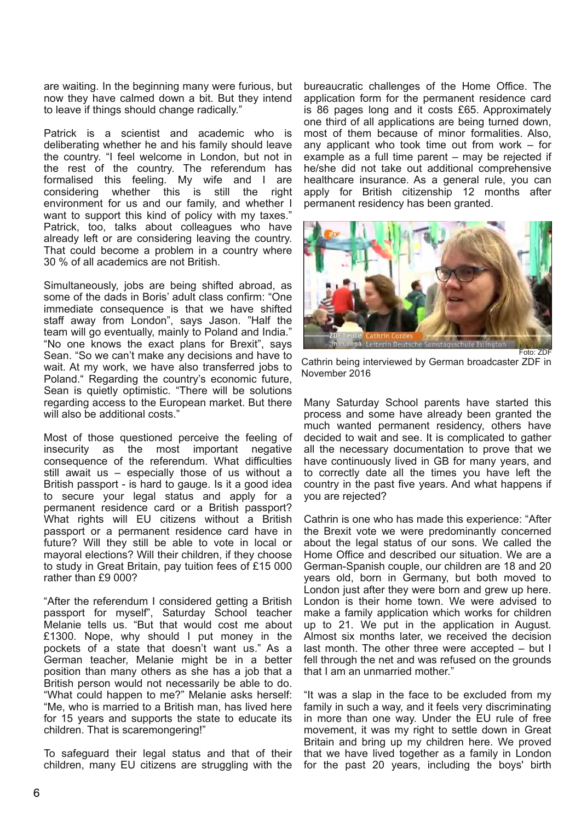are waiting. In the beginning many were furious, but now they have calmed down a bit. But they intend to leave if things should change radically."

Patrick is a scientist and academic who is deliberating whether he and his family should leave the country. "I feel welcome in London, but not in the rest of the country. The referendum has formalised this feeling. My wife and I are considering whether this is still the right considering whether environment for us and our family, and whether I want to support this kind of policy with my taxes." Patrick, too, talks about colleagues who have already left or are considering leaving the country. That could become a problem in a country where 30 % of all academics are not British.

Simultaneously, jobs are being shifted abroad, as some of the dads in Boris' adult class confirm: "One immediate consequence is that we have shifted staff away from London", says Jason. "Half the team will go eventually, mainly to Poland and India." "No one knows the exact plans for Brexit", says Sean. "So we can't make any decisions and have to wait. At my work, we have also transferred jobs to Poland." Regarding the country's economic future, Sean is quietly optimistic. "There will be solutions regarding access to the European market. But there will also be additional costs."

Most of those questioned perceive the feeling of insecurity as the most important negative consequence of the referendum. What difficulties still await us – especially those of us without a British passport - is hard to gauge. Is it a good idea to secure your legal status and apply for a permanent residence card or a British passport? What rights will EU citizens without a British passport or a permanent residence card have in future? Will they still be able to vote in local or mayoral elections? Will their children, if they choose to study in Great Britain, pay tuition fees of £15 000 rather than £9 000?

"After the referendum I considered getting a British passport for myself", Saturday School teacher Melanie tells us. "But that would cost me about £1300. Nope, why should I put money in the pockets of a state that doesn't want us." As a German teacher, Melanie might be in a better position than many others as she has a job that a British person would not necessarily be able to do. "What could happen to me?" Melanie asks herself: "Me, who is married to a British man, has lived here for 15 years and supports the state to educate its children. That is scaremongering!"

To safeguard their legal status and that of their children, many EU citizens are struggling with the bureaucratic challenges of the Home Office. The application form for the permanent residence card is 86 pages long and it costs £65. Approximately one third of all applications are being turned down, most of them because of minor formalities. Also, any applicant who took time out from work – for example as a full time parent – may be rejected if he/she did not take out additional comprehensive healthcare insurance. As a general rule, you can apply for British citizenship 12 months after permanent residency has been granted.



Cathrin being interviewed by German broadcaster ZDF in November 2016

Many Saturday School parents have started this process and some have already been granted the much wanted permanent residency, others have decided to wait and see. It is complicated to gather all the necessary documentation to prove that we have continuously lived in GB for many years, and to correctly date all the times you have left the country in the past five years. And what happens if you are rejected?

Cathrin is one who has made this experience: "After the Brexit vote we were predominantly concerned about the legal status of our sons. We called the Home Office and described our situation. We are a German-Spanish couple, our children are 18 and 20 years old, born in Germany, but both moved to London just after they were born and grew up here. London is their home town. We were advised to make a family application which works for children up to 21. We put in the application in August. Almost six months later, we received the decision last month. The other three were accepted – but I fell through the net and was refused on the grounds that I am an unmarried mother."

"It was a slap in the face to be excluded from my family in such a way, and it feels very discriminating in more than one way. Under the EU rule of free movement, it was my right to settle down in Great Britain and bring up my children here. We proved that we have lived together as a family in London for the past 20 years, including the boys' birth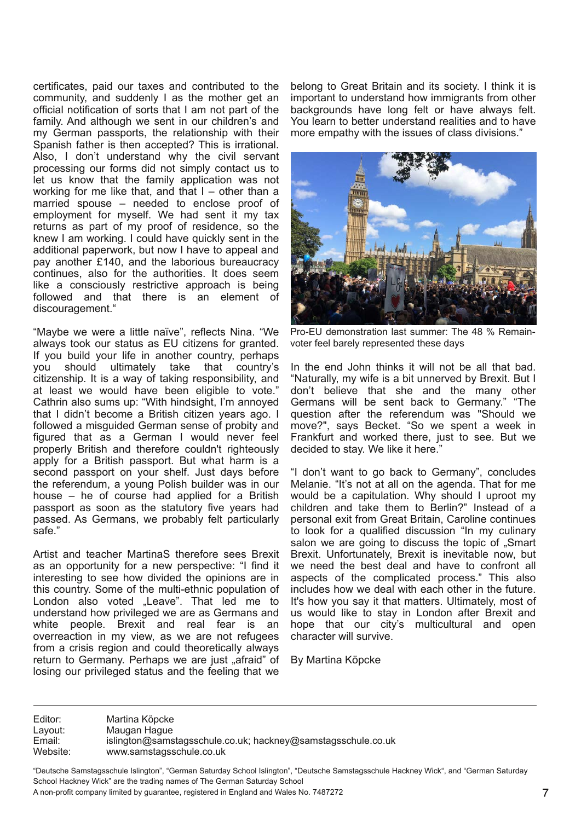certificates, paid our taxes and contributed to the community, and suddenly I as the mother get an official notification of sorts that I am not part of the family. And although we sent in our children's and my German passports, the relationship with their Spanish father is then accepted? This is irrational. Also, I don't understand why the civil servant processing our forms did not simply contact us to let us know that the family application was not working for me like that, and that  $I -$  other than a married spouse – needed to enclose proof of employment for myself. We had sent it my tax returns as part of my proof of residence, so the knew I am working. I could have quickly sent in the additional paperwork, but now I have to appeal and pay another £140, and the laborious bureaucracy continues, also for the authorities. It does seem like a consciously restrictive approach is being followed and that there is an element of discouragement."

"Maybe we were a little naïve", reflects Nina. "We always took our status as EU citizens for granted. If you build your life in another country, perhaps you should ultimately take that country's citizenship. It is a way of taking responsibility, and at least we would have been eligible to vote." Cathrin also sums up: "With hindsight, I'm annoyed that I didn't become a British citizen years ago. I followed a misguided German sense of probity and figured that as a German I would never feel properly British and therefore couldn't righteously apply for a British passport. But what harm is a second passport on your shelf. Just days before the referendum, a young Polish builder was in our house – he of course had applied for a British passport as soon as the statutory five years had passed. As Germans, we probably felt particularly safe."

Artist and teacher MartinaS therefore sees Brexit as an opportunity for a new perspective: "I find it interesting to see how divided the opinions are in this country. Some of the multi-ethnic population of London also voted "Leave". That led me to understand how privileged we are as Germans and white people. Brexit and real fear is an overreaction in my view, as we are not refugees from a crisis region and could theoretically always return to Germany. Perhaps we are just "afraid" of losing our privileged status and the feeling that we

belong to Great Britain and its society. I think it is important to understand how immigrants from other backgrounds have long felt or have always felt. You learn to better understand realities and to have more empathy with the issues of class divisions."



Pro-EU demonstration last summer: The 48 % Remainvoter feel barely represented these days

In the end John thinks it will not be all that bad. "Naturally, my wife is a bit unnerved by Brexit. But I don't believe that she and the many other Germans will be sent back to Germany." "The question after the referendum was "Should we move?", says Becket. "So we spent a week in Frankfurt and worked there, just to see. But we decided to stay. We like it here."

"I don't want to go back to Germany", concludes Melanie. "It's not at all on the agenda. That for me would be a capitulation. Why should I uproot my children and take them to Berlin?" Instead of a personal exit from Great Britain, Caroline continues to look for a qualified discussion "In my culinary salon we are going to discuss the topic of "Smart Brexit. Unfortunately, Brexit is inevitable now, but we need the best deal and have to confront all aspects of the complicated process." This also includes how we deal with each other in the future. It's how you say it that matters. Ultimately, most of us would like to stay in London after Brexit and hope that our city's multicultural and open character will survive.

By Martina Köpcke

Editor: Martina Köpcke Layout: Maugan Hague<br>
Email: islington@sams Email: islington@samstagsschule.co.uk; hackney@samstagsschule.co.uk<br>Website: www.samstagsschule.co.uk www.samstagsschule.co.uk

"Deutsche Samstagsschule Islington", "German Saturday School Islington", "Deutsche Samstagsschule Hackney Wick", and "German Saturday School Hackney Wick" are the trading names of The German Saturday School A non-profit company limited by guarantee, registered in England and Wales No. 7487272